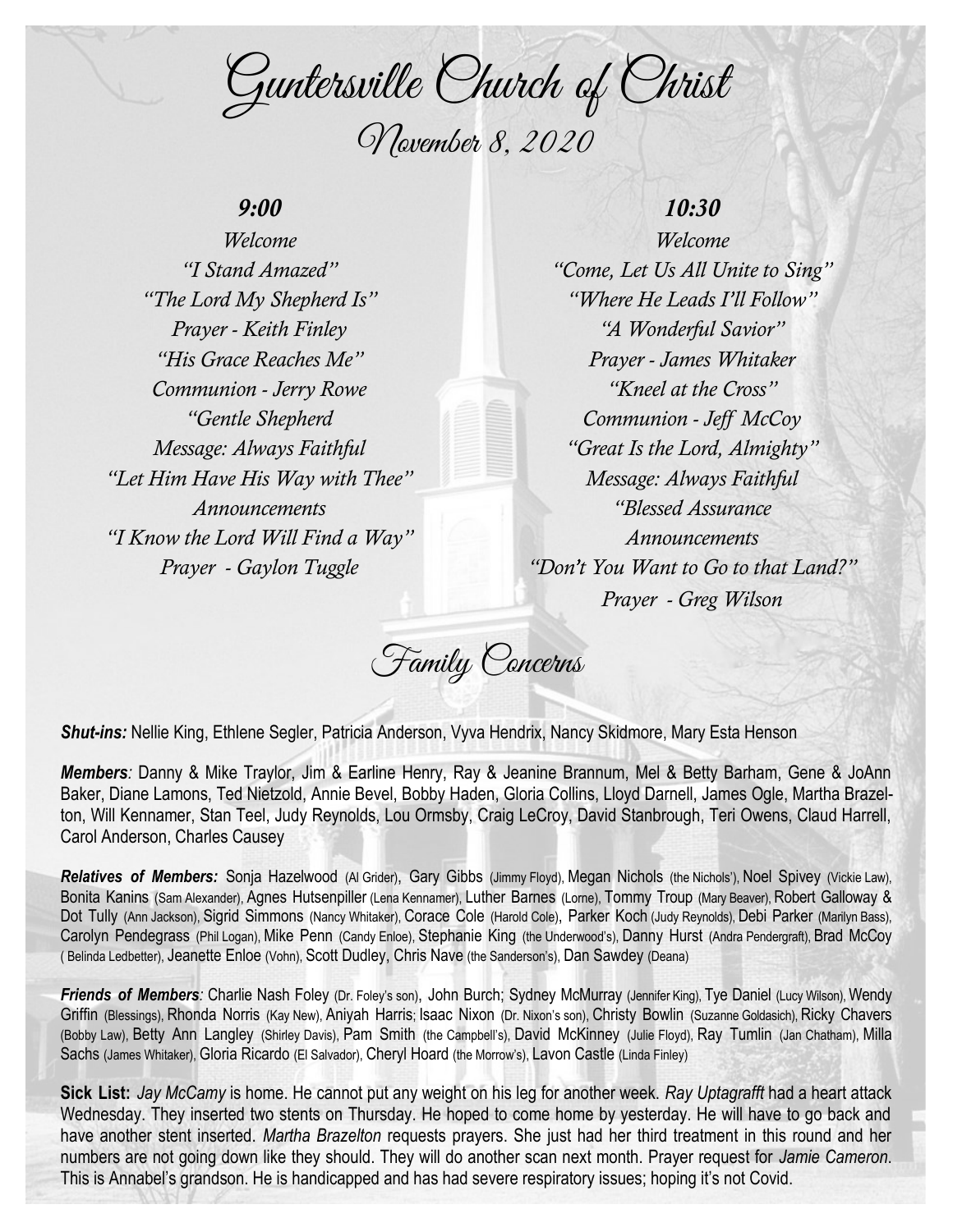Guntersville Church of Christ November 8, 2020

## *9:00*

*Welcome "I Stand Amazed" "The Lord My Shepherd Is" Prayer - Keith Finley "His Grace Reaches Me" Communion - Jerry Rowe "Gentle Shepherd Message: Always Faithful "Let Him Have His Way with Thee" Announcements "I Know the Lord Will Find a Way" Prayer - Gaylon Tuggle*

## *10:30*

*Welcome "Come, Let Us All Unite to Sing" "Where He Leads I'll Follow" "A Wonderful Savior" Prayer - James Whitaker "Kneel at the Cross" Communion - Jeff McCoy "Great Is the Lord, Almighty" Message: Always Faithful "Blessed Assurance Announcements "Don't You Want to Go to that Land?" Prayer - Greg Wilson*

Family Concerns

*Shut-ins:* Nellie King, Ethlene Segler, Patricia Anderson, Vyva Hendrix, Nancy Skidmore, Mary Esta Henson

*Members:* Danny & Mike Traylor, Jim & Earline Henry, Ray & Jeanine Brannum, Mel & Betty Barham, Gene & JoAnn Baker, Diane Lamons, Ted Nietzold, Annie Bevel, Bobby Haden, Gloria Collins, Lloyd Darnell, James Ogle, Martha Brazelton, Will Kennamer, Stan Teel, Judy Reynolds, Lou Ormsby, Craig LeCroy, David Stanbrough, Teri Owens, Claud Harrell, Carol Anderson, Charles Causey

*Relatives of Members:* Sonja Hazelwood (Al Grider), Gary Gibbs (Jimmy Floyd), Megan Nichols (the Nichols'), Noel Spivey (Vickie Law), Bonita Kanins (Sam Alexander), Agnes Hutsenpiller (Lena Kennamer), Luther Barnes (Lorne), Tommy Troup (Mary Beaver), Robert Galloway & Dot Tully (Ann Jackson), Sigrid Simmons (Nancy Whitaker), Corace Cole (Harold Cole), Parker Koch (Judy Reynolds), Debi Parker (Marilyn Bass), Carolyn Pendegrass (Phil Logan), Mike Penn (Candy Enloe), Stephanie King (the Underwood's), Danny Hurst (Andra Pendergraft), Brad McCoy ( Belinda Ledbetter), Jeanette Enloe (Vohn), Scott Dudley, Chris Nave (the Sanderson's), Dan Sawdey (Deana)

**Friends of Members**: Charlie Nash Foley (Dr. Foley's son), John Burch; Sydney McMurray (Jennifer King), Tye Daniel (Lucy Wilson), Wendy Griffin (Blessings), Rhonda Norris (Kay New), Aniyah Harris; Isaac Nixon (Dr. Nixon's son), Christy Bowlin (Suzanne Goldasich), Ricky Chavers (Bobby Law), Betty Ann Langley (Shirley Davis), Pam Smith (the Campbell's), David McKinney (Julie Floyd), Ray Tumlin (Jan Chatham), Milla Sachs (James Whitaker), Gloria Ricardo (El Salvador), Cheryl Hoard (the Morrow's), Lavon Castle (Linda Finley)

**Sick List:** *Jay McCamy* is home. He cannot put any weight on his leg for another week. *Ray Uptagrafft* had a heart attack Wednesday. They inserted two stents on Thursday. He hoped to come home by yesterday. He will have to go back and have another stent inserted. *Martha Brazelton* requests prayers. She just had her third treatment in this round and her numbers are not going down like they should. They will do another scan next month. Prayer request for *Jamie Cameron*. This is Annabel's grandson. He is handicapped and has had severe respiratory issues; hoping it's not Covid.